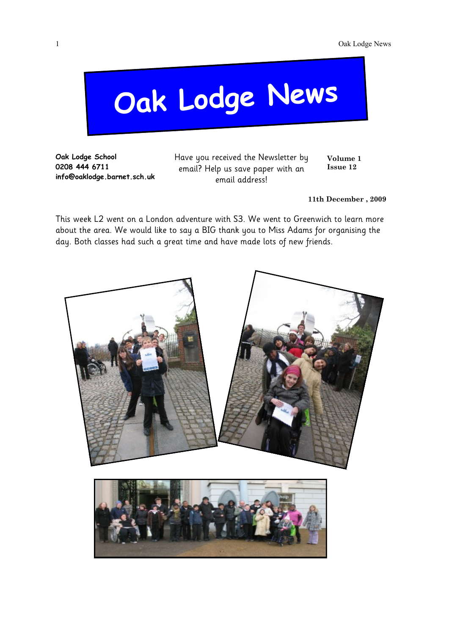# **Oak Lodge News**

**Oak Lodge School 0208 444 6711 info@oaklodge.barnet.sch.uk** Have you received the Newsletter by email? Help us save paper with an email address!

**Volume 1 Issue 12**

**11th December , 2009**

This week L2 went on a London adventure with S3. We went to Greenwich to learn more about the area. We would like to say a BIG thank you to Miss Adams for organising the day. Both classes had such a great time and have made lots of new friends.

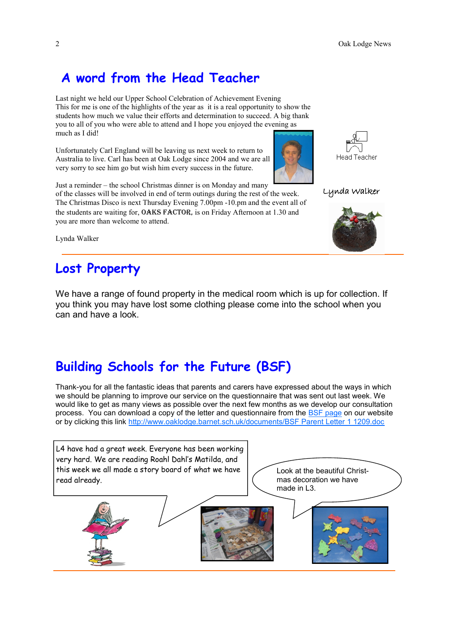## **A word from the Head Teacher**

Last night we held our Upper School Celebration of Achievement Evening This for me is one of the highlights of the year as it is a real opportunity to show the students how much we value their efforts and determination to succeed. A big thank you to all of you who were able to attend and I hope you enjoyed the evening as much as I did!

Unfortunately Carl England will be leaving us next week to return to Australia to live. Carl has been at Oak Lodge since 2004 and we are all very sorry to see him go but wish him every success in the future.



Just a reminder – the school Christmas dinner is on Monday and many of the classes will be involved in end of term outings during the rest of the week. The Christmas Disco is next Thursday Evening 7.00pm -10.pm and the event all of the students are waiting for, OAKS FACTOR, is on Friday Afternoon at 1.30 and you are more than welcome to attend.



Lynda Walker



Lynda Walker

#### **Lost Property**

We have a range of found property in the medical room which is up for collection. If you think you may have lost some clothing please come into the school when you can and have a look.

## **Building Schools for the Future (BSF)**

Thank-you for all the fantastic ideas that parents and carers have expressed about the ways in which we should be planning to improve our service on the questionnaire that was sent out last week. We would like to get as many views as possible over the next few months as we develop our consultation process. You can download a copy of the letter and questionnaire from the [BSF page](http://www.oaklodge.barnet.sch.uk/BSF_info.html) on our website or by clicking this link [http://www.oaklodge.barnet.sch.uk/documents/BSF Parent Letter 1 1209.doc](http://www.oaklodge.barnet.sch.uk/documents/BSF%20Parent%20Letter%201%201209.doc)

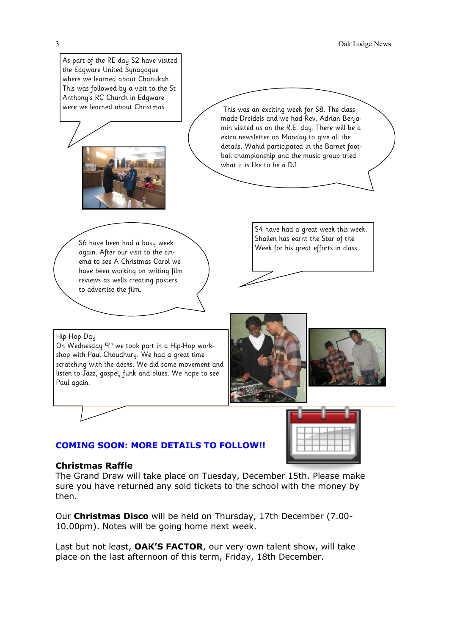

#### **COMING SOON: MORE DETAILS TO FOLLOW!!**

#### **Christmas Raffle**

The Grand Draw will take place on Tuesday, December 15th. Please make sure you have returned any sold tickets to the school with the money by then.

Our **Christmas Disco** will be held on Thursday, 17th December (7.00- 10.00pm). Notes will be going home next week.

Last but not least, **OAK'S FACTOR**, our very own talent show, will take place on the last afternoon of this term, Friday, 18th December.